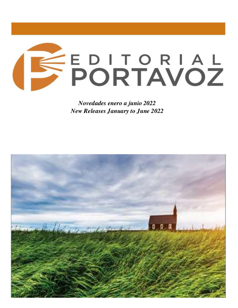

*Novedades enero a junio 2022 New Releases January to June 2022*

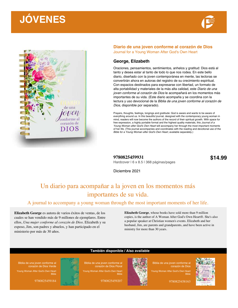



#### **Diario de una joven conforme al corazón de Dios** Journal for a Young Woman After God's Own Heart

#### **George, Elizabeth**

Oraciones, pensamientos, sentimientos, anhelos y gratitud: Dios está al tanto y desea estar al tanto de todo lo que nos rodea. En este bello diario, diseñado con la joven contemporánea en mente, las lectoras se convertirán ahora en autoras del registro de su crecimiento espiritual. Con espacios destinados para expresarse con libertad, un formato de alta portabilidad y materiales de la más alta calidad, este *Diario de una joven conforme al corazón de Dios* le acompañará en los momentos más importantes de su vida. (Este diario acompaña y se coordina con la lectura y uso devocional de la *Biblia de una joven conforme al corazón de Dios*, disponible por separado).

Prayers, thoughts, feelings, longings and gratitude: God is aware and wants to be aware of everything around us. In this beautiful journal, designed with the contemporary young woman in mind, readers will now become the authors of the record of their spiritual growth. With space for free expression, a highly portable format and the highest quality materials, this *Journal of a Young Woman after God's Own Heart* will accompany her through the most important moments of her life. (This journal accompanies and coordinates with the reading and devotional use of the *Bible for a Young Woman after God's Own Heart*, available separately.)

**9780825459931 \$14.99** Hardcover | 6 x 8.5 | 368 páginas/pages

Diciembre 2021

### Un diario para acompañar a la joven en los momentos más importantes de su vida.

#### A journal to accompany a young woman through the most important moments of her life.

**Elizabeth George** es autora de varios éxitos de ventas, de los cuales se han vendido más de 9 millones de ejemplares. Entre ellos, *Una mujer conforme al corazón de Dios*. Elizabeth y su esposo, Jim, son padres y abuelos, y han participado en el ministerio por más de 30 años.

**Elizabeth George**, whose books have sold more than 9 million copies, is the author of A Woman After God's Own Heart®. She's also a popular speaker at Christian women's events. Elizabeth and her husband, Jim, are parents and grandparents, and have been active in ministry for more than 30 years.



9780825459184



#### **También disponible / Also available**

Bible

Biblia de una joven conforme al corazón de Dios Floral Young Woman After God's Own Heart

9780825459207



Biblia de una joven conforme al corazón de Dios Young Woman After God's Own Heart

Bible

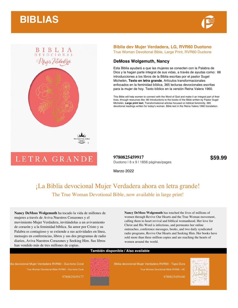



# BIBLIA<br>DEVOCIONAL Mujer Verdadeza

#### **Biblia dev Mujer Verdadera, LG, RVR60 Duotono** True Woman Devotional Bible, Large Print, RVR60 Duotone

#### **DeMoss Wolgemuth, Nancy**

Esta Biblia ayudará a que las mujeres se conecten con la Palabra de Dios y la hagan parte integral de sus vidas, a través de ayudas como: 66 introducciones a los libros de la Biblia escritas por el pastor Sugel Michelén, **Texto en letra grande**, Artículos transformacionales enfocados en la feminidad bíblica, 365 lecturas devocionales escritas para la mujer de hoy. Texto bíblico en la versión Reina Valera 1960.

This Bible will help women to connect with the Word of God and make it an integral part of their lives, through resources like: 66 introductions to the books of the Bible written by Pastor Sugel Michelén, **Large print text**, Transformational articles focused on biblical femininity, 365 devotional readings written for today's woman. Bible text in the Reina Valera 1960 translation.

## LETRA GRANDE

**9780825459917** \$59.99 Duotono | 6 x 9 | 1856 páginas/pages

Marzo 2022

### ¡La Biblia devocional Mujer Verdadera ahora en letra grande! The True Woman Devotional Bible, now available in large print!

**Nancy DeMoss Wolgemuth** ha tocado la vida de millones de mujeres a través de Aviva Nuestros Corazones y el movimiento Mujer Verdadera, invitándolas a un avivamiento de corazón y a la feminidad bíblica. Su amor por Cristo y su Palabra es contagioso y se extiende a sus actividades en línea, mensajes en conferencias, libros y sus dos programas de radio diarios, Aviva Nuestros Corazones y Seeking Him. Sus libros han vendido más de tres millones de copias.

**Nancy DeMoss Wolgemuth** has touched the lives of millions of women through Revive Our Hearts and the True Woman movement, calling them to heart revival and biblical womanhood. Her love for Christ and His Word is infectious, and permeates her online outreaches, conference messages, books, and two daily syndicated radio programs, Revive Our Hearts and Seeking Him. Her books have sold more than three million copies and are reaching the hearts of women around the world.

#### **También disponible / Also available**

blia devocional Mujer Verdadera RVR60 - Duo-tono Coral True Woman Devotional Bible RVR60 - Duo-tone Coral 9780825459177



Biblia devocional Mujer Verdadera RVR60 - Tapa Dura True Woman Devotional Bible RVR60 - HC

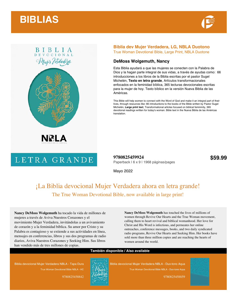



## BIBLIA<br>DEVOCIONAL Mujer Verdadeza



## LETRA GRANDE

#### **Biblia dev Mujer Verdadera, LG, NBLA Duotono** True Woman Devotional Bible, Large Print, NBLA Duotone

#### **DeMoss Wolgemuth, Nancy**

Esta Biblia ayudará a que las mujeres se conecten con la Palabra de Dios y la hagan parte integral de sus vidas, a través de ayudas como: 66 introducciones a los libros de la Biblia escritas por el pastor Sugel Michelén, **Texto en letra grande**, Artículos transformacionales enfocados en la feminidad bíblica, 365 lecturas devocionales escritas para la mujer de hoy. Texto bíblico en la versión Nueva Biblia de las Américas.

This Bible will help women to connect with the Word of God and make it an integral part of their lives, through resources like: 66 introductions to the books of the Bible written by Pastor Sugel Michelén, **Large print text**, Transformational articles focused on biblical femininity, 365 devotional readings written for today's woman. Bible text in the Nueva Biblia de las Américas translation.

**9780825459924** \$59.99 Paperback | 6 x 9 | 1968 páginas/pages

Mayo 2022

### ¡La Biblia devocional Mujer Verdadera ahora en letra grande! The True Woman Devotional Bible, now available in large print!

**Nancy DeMoss Wolgemuth** ha tocado la vida de millones de mujeres a través de Aviva Nuestros Corazones y el movimiento Mujer Verdadera, invitándolas a un avivamiento de corazón y a la feminidad bíblica. Su amor por Cristo y su Palabra es contagioso y se extiende a sus actividades en línea, mensajes en conferencias, libros y sus dos programas de radio diarios, Aviva Nuestros Corazones y Seeking Him. Sus libros han vendido más de tres millones de copias.

**Nancy DeMoss Wolgemuth** has touched the lives of millions of women through Revive Our Hearts and the True Woman movement, calling them to heart revival and biblical womanhood. Her love for Christ and His Word is infectious, and permeates her online outreaches, conference messages, books, and two daily syndicated radio programs, Revive Our Hearts and Seeking Him. Her books have sold more than three million copies and are reaching the hearts of women around the world.

#### **También disponible / Also available**

Biblia devocional Mujer Verdadera NBLA - Tapa Dura True Woman Devotional Bible NBLA - HC

9780825458842



Biblia devocional Mujer Verdadera NBLA - Duo-tono Aqua True Woman Devotional Bible NBLA - Duo-tone Aqua

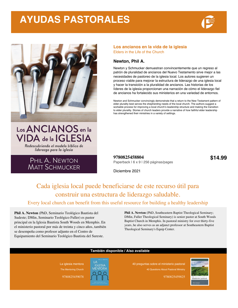## **AYUDAS PASTORALES**





#### **Los ancianos en la vida de la iglesia** Elders in the Life of the Church

#### **Newton, Phil A.**

Newton y Schmucker demuestran convincentemente que un regreso al patrón de pluralidad de ancianos del Nuevo Testamento sirve mejor a las necesidades de pastoreo de la iglesia local. Los autores sugieren un proceso viable para mejorar la estructura de liderazgo de una iglesia local y hacer la transición a la pluralidad de ancianos. Las historias de los líderes de la iglesia proporcionan una narración de cómo el liderazgo fiel de ancianos ha fortalecido sus ministerios en una variedad de entornos.

Newton and Schmucker convincingly demonstrate that a return to the New Testament pattern of elder plurality best serves the shepherding needs of the local church. The authors suggest a workable process for improving a local church's leadership structure and making the transition to elder plurality. Stories of church leaders provide a narrative of how faithful elder leadership has strengthened their ministries in a variety of settings.

#### **9780825458804 \$14.99** Paperback | 6 x 9 | 256 páginas/pages

PHIL A. NEWTON **MATT SCHMUCKER** 

VIDA de la IGLESIA

Redescubriendo el modelo bíblico de liderazgo para la iglesia

Diciembre 2021

### Cada iglesia local puede beneficiarse de este recurso útil para construir una estructura de liderazgo saludable.

#### Every local church can benefit from this useful resource for building a healthy leadership

**También disponible / Also available**

**Phil A. Newton** (PhD, Seminario Teológico Bautista del Sudeste; DMin, Seminario Teológico Fuller) es pastor principal en la Iglesia Bautista South Woods en Memphis. En el ministerio pastoral por más de treinta y cinco años, también se desempeña como profesor adjunto en el Centro de Equipamiento del Seminario Teológico Bautista del Sureste.

structure. **Phil A. Newton** (PhD, Southeastern Baptist Theological Seminary; DMin, Fuller Theological Seminary) is senior pastor at South Woods Baptist Church in Memphis. In pastoral ministry for over thirty-five years, he also serves as an adjunct professor at Southeastern Baptist Theological Seminary's Equip Center.



9780825459078



40 preguntas sobre el ministerio pastoral 40 Questions About Pastoral Ministry

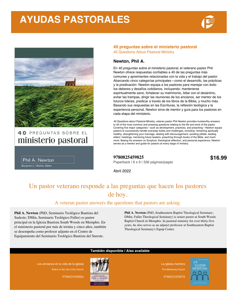## **AYUDAS PASTORALES**





40 PREGUNTAS SOBRE EL ministerio pastoral

Phil A. Newton Benjamin L. Merkle, Editor

#### **40 preguntas sobre el ministerio pastoral**

40 Questions About Pastoral Ministry

#### **Newton, Phil A.**

En *40 preguntas sobre el ministerio pastoral*, el veterano pastor Phil Newton ofrece respuestas confiables a 40 de las preguntas más comunes y apremiantes relacionadas con la vida y el trabajo del pastor. Abarcando cinco categorías principales—como el desarrollo, las prácticas y la predicación- Newton equipa a los pastores para manejar con éxito los deberes y desafíos cotidianos, incluyendo: mantenerse espiritualmente sano, fortalecer su matrimonio, lidiar con el desánimo, evitar las trampas, dirigir las reuniones de los ancianos, ser mentor de los futuros líderes, predicar a través de los libros de la Biblia, y mucho más. Basando sus respuestas en las Escrituras, la reflexión teológica y la experiencia personal, Newton sirve de mentor y guía para los pastores en cada etapa del ministerio.

*40 Questions about Pastoral Ministry*, veteran pastor Phil Newton provides trustworthy answers to 40 of the most common and pressing questions relating to the life and work of the pastor. Covering five major categories—such as development, practices, and preaching—Newton equips pastors to successfully handle everyday duties and challenges, including: remaining spiritually healthy, strengthening your marriage, dealing with discouragement, avoiding pitfalls, leading elders' meetings, mentoring future leaders, preaching through books of the Bible, and much more. Basing his answers on Scripture, theological reflection, and personal experience, Newton serves as a mentor and guide for pastors at every stage of ministry.

**9780825459825 \$16.99**

Paperback | 6 x 9 | 336 páginas/pages

Abril 2022

### Un pastor veterano responde a las preguntas que hacen los pastores de hoy.

A veteran pastor answers the questions that pastors are asking.

**También disponible / Also available**

**Phil A. Newton** (PhD, Seminario Teológico Bautista del Sudeste; DMin, Seminario Teológico Fuller) es pastor principal en la Iglesia Bautista South Woods en Memphis. En el ministerio pastoral por más de treinta y cinco años, también se desempeña como profesor adjunto en el Centro de Equipamiento del Seminario Teológico Bautista del Sureste.

**Phil A. Newton** (PhD, Southeastern Baptist Theological Seminary; DMin, Fuller Theological Seminary) is senior pastor at South Woods Baptist Church in Memphis. In pastoral ministry for over thirty-five years, he also serves as an adjunct professor at Southeastern Baptist Theological Seminary's Equip Center.



9780825458804

La iglesia mentora The Mentoring Church

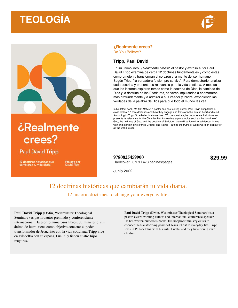## **TEOLOGÍA**





## *¿Realmente* crees?

### **Paul David Tripp**

12 doctrinas históricas que<br>cambiarán tu vida diaria

Prólogo por<br>David Platt

#### **¿Realmente crees?** Do You Believe?

#### **Tripp, Paul David**

En su último libro, *¿Realmente crees?*, el pastor y exitoso autor Paul David Tripp examina de cerca 12 doctrinas fundamentales y cómo estas comprometen y transforman el corazón y la mente del ser humano. Según Tripp, "la verdadera fe siempre se vive". Para demostrarlo, analiza cada doctrina y presenta su relevancia para la vida cristiana. A medida que los lectores exploran temas como la doctrina de Dios, la santidad de Dios y la doctrina de las Escrituras, se verán impulsados a enamorarse más profundamente y a admirar a su Creador y Padre, exponiendo las verdades de la palabra de Dios para que todo el mundo las vea.

In his latest book, *Do You Believe?*, pastor and best-selling author Paul David Tripp takes a close look at 12 core doctrines and how they engage and transform the human heart and mind. According to Tripp, "true belief is always lived." To demonstrate, he unpacks each doctrine and presents its relevance for the Christian life. As readers explore topics such as the doctrine of God, the holiness of God, and the doctrine of Scripture, they will be fueled to fall deeper in love with and stand in awe of their Creator and Father—putting the truths of God's word on display for all the world to see.

**9780825459900** \$29.99 Hardcover | 6 x 9 | 478 páginas/pages

Junio 2022

### 12 doctrinas históricas que cambiarán tu vida diaria. 12 historic doctrines to change your everyday life.

**Paul David Tripp** (DMin, Westminster Theological Seminary) es pastor, autor premiado y conferenciante internacional. Ha escrito numerosos libros. Su ministerio, sin ánimo de lucro, tiene como objetivo conectar el poder transformador de Jesucristo con la vida cotidiana. Tripp vive en Filadelfia con su esposa, Luella, y tienen cuatro hijos mayores.

**Paul David Tripp** (DMin, Westminster Theological Seminary) is a pastor, award-winning author, and international conference speaker. He has written numerous books. His nonprofit ministry exists to connect the transforming power of Jesus Christ to everyday life. Tripp lives in Philadelphia with his wife, Luella, and they have four grown children.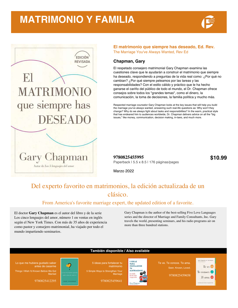## **MATRIMONIO Y FAMILIA**





#### **El matrimonio que siempre has deseado, Ed. Rev.** The Marriage You've Always Wanted, Rev Ed

#### **Chapman, Gary**

El respetado consejero matrimonial Gary Chapman examina las cuestiones clave que le ayudarán a construir el matrimonio que siempre ha deseado, respondiendo a preguntas de la vida real como: ¿Por qué no cambian? ¿Por qué siempre peleamos por las tareas y las responsabilidades? Con el estilo cálido y práctico que le ha hecho ganarse el cariño del público de todo el mundo, el Dr. Chapman ofrece consejos sobre todos los "grandes temas", como el dinero, la comunicación, la toma de decisiones, la familia política y mucho más.

Respected marriage counselor Gary Chapman looks at the key issues that will help you build the marriage you've always wanted, answering such real-life questions as: Why won't they change? Why do we always fight about tasks and responsibilities? In the warm, practical style that has endeared him to audiences worldwide, Dr. Chapman delivers advice on all the "big issues," like money, communication, decision making, in-laws, and much more.

**9780825455995 \$10.99** Paperback | 5.5 x 8.5 | 176 páginas/pages

Marzo 2022

### Del experto favorito en matrimonios, la edición actualizada de un clásico.

#### From America's favorite marriage expert, the updated edition of a favorite.

El doctor **Gary Chapman** es el autor del libro y de la serie Los cinco lenguajes del amor, número 1 en ventas en inglés según el New York Times. Con más de 35 años de experiencia como pastor y consejero matrimonial, ha viajado por todo el mundo impartiendo seminarios.

Gary Chapman is the author of the best-selling Five Love Languages series and the director of Marriage and Family Consultants, Inc. Gary travels the world, presenting seminars, and his radio programs air on more than three hundred stations.

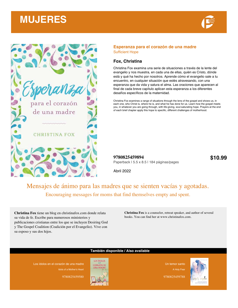## **MUJERES**





#### **Esperanza para el corazón de una madre** Sufficient Hope

#### **Fox, Christina**

Christina Fox examina una serie de situaciones a través de la lente del evangelio y nos muestra, en cada una de ellas, quién es Cristo, dónde está y qué ha hecho por nosotros. Aprende cómo el evangelio sale a tu encuentro, en cualquier situación que estés atravesando, con una esperanza que da vida y satura el alma. Las oraciones que aparecen al final de cada breve capítulo aplican esta esperanza a los diferentes desafíos específicos de la maternidad.

Christina Fox examines a range of situations through the lens of the gospel and shows us, in each one, who Christ is, where he is, and what he has done for us. Learn how the gospel meets you, in whatever you are going through, with life-giving, soul-saturating hope. Prayers at the end of each brief chapter apply this hope to specific, different challenges of motherhood.

**9780825459894 \$10.99** Paperback | 5.5 x 8.5 | 184 páginas/pages

Abril 2022

### Mensajes de ánimo para las madres que se sienten vacías y agotadas. Encouraging messages for moms that find themselves empty and spent.

**Christina Fox** tiene un blog en christinafox.com donde relata su vida de fe. Escribe para numerosos ministerios y publicaciones cristianas entre los que se incluyen Desiring God y The Gospel Coalition (Coalición por el Evangelio). Vive con su esposo y sus dos hijos.

**Christina Fox** is a counselor, retreat speaker, and author of several books. You can find her at www.christinafox.com.

#### **También disponible / Also available**

Los ídolos en el corazón de una madre

9780825459580



Un temor santo

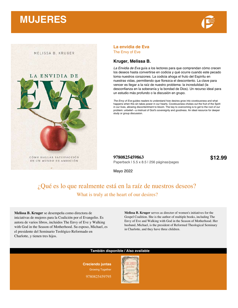## **MUJERES**





#### **La envidia de Eva** The Envy of Eve

#### **Kruger, Melissa B.**

*La Envidia de Eva* guía a los lectores para que comprendan cómo crecen los deseos hasta convertirse en codicia y qué ocurre cuando este pecado toma nuestros corazones. La codicia ahoga el fruto del Espíritu en nuestras vidas, permitiendo que florezca el descontento. La clave para vencer es llegar a la raíz de nuestro problema: la incredulidad (la desconfianza en la soberanía y la bondad de Dios). Un recurso ideal para un estudio más profundo o la discusión en grupo.

*The Envy of Eve* guides readers to understand how desires grow into covetousness and what happens when this sin takes power in our hearts. Covetousness chokes out the fruit of the Spirit in our lives, allowing discontentment to bloom. The key to overcoming is to get to the root of our problem: unbelief—a mistrust of God's sovereignty and goodness. An ideal resource for deeper study or group discussion.

**9780825459863 \$12.99** Paperback | 5.5 x 8.5 | 256 páginas/pages

Mayo 2022

### ¿Qué es lo que realmente está en la raíz de nuestros deseos? What is truly at the heart of our desires?

**Melissa B. Kruger** se desempeña como directora de iniciativas de mujeres para la Coalición por el Evangelio. Es autora de varios libros, incluidos The Envy of Eve y Walking with God in the Season of Motherhood. Su esposo, Michael, es el presidente del Seminario Teológico Reformado en Charlotte, y tienen tres hijos.

**Melissa B. Kruger** serves as director of women's initiatives for the Gospel Coalition. She is the author of multiple books, including The Envy of Eve and Walking with God in the Season of Motherhood. Her husband, Michael, is the president of Reformed Theological Seminary in Charlotte, and they have three children.

#### **También disponible / Also available**

**Creciendo juntas** Growing Together

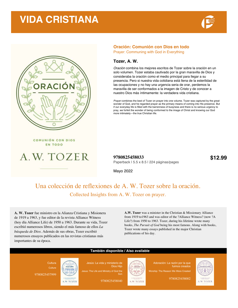## **VIDA CRISTIANA**





#### **Oración: Comunión con Dios en todo**

Prayer: Communing with God in Everything

#### **Tozer, A. W.**

*Oración* combina los mejores escritos de Tozer sobre la oración en un solo volumen. Tozer estaba cautivado por la gran maravilla de Dios y consideraba la oración como el medio principal para llegar a su presencia. Pero si nuestra vida cotidiana está llena de la esterilidad de las ocupaciones y no hay una urgencia seria de orar, perdemos la maravilla de ser conformados a la imagen de Cristo y de conocer a nuestro Dios más íntimamente: la verdadera vida cristiana.

*Prayer* combines the best of Tozer on prayer into one volume. Tozer was captured by the great wonder of God, and he regarded prayer as the primary means of coming into His presence. But if our everyday life is filled with the barrenness of busyness and there is no serious urgency to pray, we forfeit the wonder of being conformed to the image of Christ and knowing our God more intimately—the true Christian life.

COMUNIÓN CON DIOS EN TODO



**9780825458033 \$12.99** Paperback | 5.5 x 8.5 | 224 páginas/pages

Mayo 2022

### Una colección de reflexiones de A. W. Tozer sobre la oración. Collected Insights from A. W. Tozer on prayer.

**A. W. Tozer** fue ministro en la Alianza Cristiana y Misionera de 1919 a 1963, y fue editor de la revista Alliance Witness (hoy día Alliance Life) de 1950 a 1963. Durante su vida, Tozer escribió numerosos libros, siendo el más famoso de ellos *La búsqueda de Dios*. Además de sus obras, Tozer escribió numerosos ensayos publicados en las revistas cristianas más importantes de su época.

**A.W. Tozer** was a minister in the Christian & Missionary Alliance from 1919 to1963 and was editor of the ?Alliance Witness? (now ?A Life?) from 1950 to 1963. Tozer, during his lifetime wrote many books, *The Pursuit of God* being his most famous. Along with books, Tozer wrote many essays published in the major Christian publications of his day.

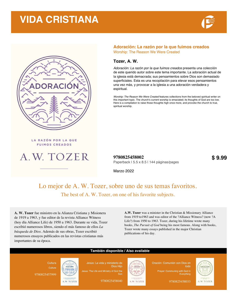## **VIDA CRISTIANA**





#### **Adoración: La razón por la que fuimos creados** Worship: The Reason We Were Created

#### **Tozer, A. W.**

*Adoración: La razón por la que fuimos creados* presenta una colección de este querido autor sobre este tema importante. La adoración actual de la iglesia está demacrada; sus pensamientos sobre Dios son demasiado superficiales. Esta es una recopilación para elevar esos pensamientos una vez más, y provocar a la iglesia a una adoración verdadera y espiritual.

*Worship: The Reason We Were Created* features collections from the beloved spiritual writer on this important topic. The church's current worship is emaciated; its thoughts of God are too low. Here is a compilation to raise those thoughts high once more, and provoke the church to true, spiritual worship.

**FUIMOS CREADOS** 



LA RAZÓN POR LA QUE

**9780825458002 \$ 9.99** Paperback | 5.5 x 8.5 | 144 páginas/pages

Marzo 2022

### Lo mejor de A. W. Tozer, sobre uno de sus temas favoritos. The best of A. W. Tozer, on one of his favorite subjects.

**A. W. Tozer** fue ministro en la Alianza Cristiana y Misionera de 1919 a 1963, y fue editor de la revista Alliance Witness (hoy día Alliance Life) de 1950 a 1963. Durante su vida, Tozer escribió numerosos libros, siendo el más famoso de ellos *La búsqueda de Dios*. Además de sus obras, Tozer escribió numerosos ensayos publicados en las revistas cristianas más importantes de su época.

**A.W. Tozer** was a minister in the Christian & Missionary Alliance from 1919 to1963 and was editor of the ?Alliance Witness? (now ?A Life?) from 1950 to 1963. Tozer, during his lifetime wrote many books, *The Pursuit of God* being his most famous. Along with books, Tozer wrote many essays published in the major Christian publications of his day.

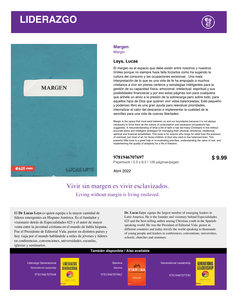## **LIDERAZGO**



#### **Margen** Margin

#### **Leys, Lucas**

El margen es el espacio que debe existir entre nosotros y nuestros límites porque no siempre hace falta forzarlos como ha sugerido la cultura del consumo y las ocupaciones excesivas . Una mala interpretación de lo que es una vida de fe ha empujado a muchos cristianos a vivir sin planes certeros y estrategias inteligentes para la gestión de su capacidad física, emocional, intelectual, espiritual y sus posibilidades financieras y por eso estas páginas son para cualquiera que anhele un alivio a la presión de la sobrecarga pero sobre todo, para aquellos hijos de Dios que quieren vivir vidas balanceadas. Este pequeño y poderoso libro es una gran ayuda para reevaluar prioridades, internalizar el valor del descanso e implementar la cualidad de la sencillez para una vida de nuevas libertades.

Margin is the space that must exist between us and our boundaries because it is not always necessary to force them as the culture of consumption and excessive occupations has suggested. A misunderstanding of what a life of faith is has led many Christians to live without accurate plans and intelligent strategies for managing their physical, emotional, intellectual, spiritual and financial possibilities. This book is for anyone who longs for relief from the pressure of overload, but most of all, for those children of God who want to live balanced lives. This powerful little book is a great help in re-evaluating priorities, understanding the value of rest, and implementing the quality of simplicity for a life of freedom.

#### **9781946707697 \$ 9.99**

Paperback | 5.5 x 8.5 | 126 páginas/pages

Abril 2022

### Vivir sin margen es vivir esclavizados. Living without margin is living enslaved.

El **Dr Lucas Leys** es quien equipa a la mayor cantidad de líderes emergentes en Hispano América. Es el fundador y visionario detrás de Especialidades 625 y el autor de mayor venta entre la juventud cristiana en el mundo de habla hispana. Fue el Presidente de Editorial Vida, pastor en distintos países y hoy viaja por el mundo hablándole a miles de jóvenes y líderes en conferencias, convenciones, universidades, escuelas, iglesias y seminarios.

**Dr. Lucas Leys** equips the largest number of emerging leaders in Latin America. He is the founder and visionary behind Especialidades 625 and the best-selling author among Christian youth in the Spanishspeaking world. He was the President of Editorial Vida, pastor in different countries and today travels the world speaking to thousands of young people and leaders in conferences, conventions, universities, schools, churches and seminars.

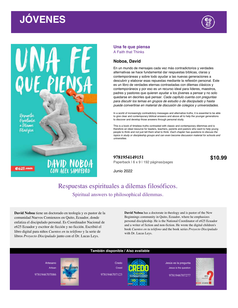Respuestas

Esplyttigal p Dilounal Filosóficos

**@625.com** 



#### **Una fe que piensa** A Faith that Thinks

#### **Noboa, David**

En un mundo de mensajes cada vez más contradictorios y verdades alternativas se hace fundamental dar respuestas bíblicas, claras y contemporáneas y sobre todo ayudar a las nuevas generaciones a descubrir y elaborar esas repuestas mediante la reflexión personal. Este es un libro de verdades eternas contrastadas con dilemas clásicos y contemporáneos y por eso es un recurso ideal para líderes, maestros, padres y pastores que quieren ayudar a los jóvenes a pensar y no solo quedarse en decirles qué pensar. *Cada capítulo cuenta con preguntas para discutir los temas en grupos de estudio o de discipulado y hasta puede convertirse en material de discusión de colegios y universidades.* 

In a world of increasingly contradictory messages and alternative truths, it is essential to be able to give clear and contemporary biblical answers and above all to help the younger generations to discover and develop those answers through personal study.

This is a book of timeless truths contrasted with classic and contemporary dilemmas and is therefore an ideal resource for leaders, teachers, parents and pastors who want to help young people to think and not just tell them what to think. *Each chapter has questions to discuss the topics in study or discipleship groups and can even become discussion material for schools and universities.* 

**9781954149151 \$10.99** Paperback | 6 x 9 | 192 páginas/pages

Junio 2022

### Respuestas espirituales a dilemas filosóficos. Spiritual answers to philosophical dilemmas.

**Called** 

**David Noboa** tiene un doctorado en teología y es pastor de la comunidad Nuevos Comienzos en Quito, Ecuador, donde enfatiza el discipulado personal. Es Coordinador Nacional de e625 Ecuador y escritor de ficción y no ficción. Escribió el libro digital para niños *Cuentos en tu teléfono* y la serie de libros *Proyecto Discipulado* junto con el Dr. Lucas Leys.

**DAVID NOBOA**<br>CON ALEX SAMPEDRO

**David Noboa** has a doctorate in theology and is pastor of the New Beginnings community in Quito, Ecuador, where he emphasizes personal discipleship. He is the National Coordinator of e625 Ecuador and a writer of fiction and non-fiction. He wrote the digital children's book *Cuentos en tu teléfono* and the book series *Proyecto Discipulado* with Dr. Lucas Leys.

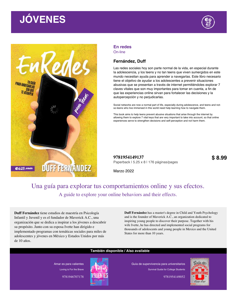PARA NAVEGARLAS

**@625.com** 



#### **En redes**

On-line

#### **Fernández, Duff**

Las redes sociales hoy son parte normal de la vida, en especial durante la adolescencia, y los teens y no tan teens que viven sumergidos en este mundo necesitan ayuda para aprender a navegarlas. Este libro necesario tiene el objetivo de ayudar a los adolescentes a prevenir situaciones abusivas que se presentan a través de internet permitiéndoles explorar 7 claves vitales que son muy importantes para tomar en cuenta, a fin de que las experiencias online sirvan para fortalecer las decisiones y la autopercepción y no perjudicarlas.

Social networks are now a normal part of life, especially during adolescence, and teens and notso-teens who live immersed in this world need help learning how to navigate them.

This book aims to help teens prevent abusive situations that arise through the internet by allowing them to explore 7 vital keys that are very important to take into account, so that online experiences serve to strengthen decisions and self-perception and not harm them.

**9781954149137 \$ 8.99** Paperback | 5.25 x 8 | 176 páginas/pages

Marzo 2022

### Una guía para explorar tus comportamientos online y sus efectos. A guide to explore your online behaviors and their effects.

**Duff Fernández** tiene estudios de maestría en Psicología Infantil y Juvenil y es el fundador de Maverick A.C., una organización que se dedica a inspirar a los jóvenes a descubrir su propósito. Junto con su esposa Ivette han dirigido e implementado programas con temáticas sociales para miles de adolescentes y jóvenes en México y Estados Unidos por más de 10 años.

**DUFF FERNANDEZ** 

**Duff Fernández** has a master's degree in Child and Youth Psychology and is the founder of Maverick A.C., an organization dedicated to inspiring young people to discover their purpose. Together with his wife Ivette, he has directed and implemented social programs for thousands of adolescents and young people in Mexico and the United States for more than 10 years.

#### **También disponible / Also available**

Amar es para valientes Loving is For the Brave

9781946707178



Guía de supervivencia para universitarios Survival Guide for College Students

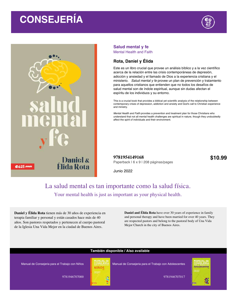## **CONSEJERÍA**





#### **Salud mental y fe** Mental Health and Faith

#### **Rota, Daniel y Élida**

Este es un libro crucial que provee un análisis bíblico y a la vez científico acerca de la relación entre las crisis contemporáneas de depresión, adicción y ansiedad y el llamado de Dios a la experiencia cristiana y el ministerio. *Salud mental y fe* provee un plan de prevención y tratamiento para aquellos cristianos que entienden que no todos los desafíos de salud mental son de índole espiritual, aunque sin dudas afectan el espíritu de los individuos y su entorno.

This is a crucial book that provides a biblical yet scientific analysis of the relationship between contemporary crises of depression, addiction and anxiety and God's call to Christian experience and ministry.

*Mental Health and Faith* provides a prevention and treatment plan for those Christians who understand that not all mental health challenges are spiritual in nature, though they undoubtedly affect the spirit of individuals and their environment.

**9781954149168 \$10.99** Paperback | 6 x 9 | 208 páginas/pages

Junio 2022

### La salud mental es tan importante como la salud física. Your mental health is just as important as your physical health.

**Daniel y Élida Rota** tienen más de 30 años de experiencia en terapia familiar y personal y están casados hace más de 40 años. Son pastores respetados y pertenecen al cuerpo pastoral de la Iglesia Una Vida Mejor en la ciudad de Buenos Aires.

**Daniel and Élida Rota** have over 30 years of experience in family and personal therapy and have been married for over 40 years. They are respected pastors and belong to the pastoral body of Una Vida Mejor Church in the city of Buenos Aires.

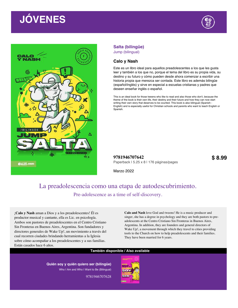

#### **Salta (bilingüe)** Jump (bilingual)

### **Calo y Nash**

Este es un libro ideal para aquellos preadolescentes a los que les gusta leer y también a los que no, porque el tema del libro es su propia vida, su destino y su futuro y cómo pueden desde ahora comenzar a escribir una historia propia que merezca ser contada. Este libro es además bilingüe (español/inglés) y sirve en especial a escuelas cristianas y padres que deseen enseñar inglés o español.

This is an ideal book for those tweens who like to read and also those who don't, because the theme of the book is their own life, their destiny and their future and how they can now start writing their own story that deserves to be counted. This book is also bilingual (Spanish - English) and is especially useful for Christian schools and parents who want to teach English or Spanish.

**9781946707642 \$ 8.99** Paperback | 5.25 x 8 | 176 páginas/pages

Marzo 2022

### La preadolescencia como una etapa de autodescubrimiento. Pre-adolescence as a time of self-discovery.

¡**Calo y Nash** aman a Dios y a los preadolescentes! Él es productor musical y cantante, ella es Lic. en psicología. Ambos son pastores de preadolescentes en el Centro Cristiano Sin Fronteras en Buenos Aires, Argentina. Son fundadores y directores generales de Wake Up!, un movimiento a través del cual recorren ciudades brindando herramientas a la Iglesia sobre cómo acompañar a los preadolescentes y a sus familias. Están casados hace 6 años.

**Calo and Nash** love God and tweens! He is a music producer and singer, she has a degree in psychology and they are both pastors to preadolescents at the Centro Cristiano Sin Fronteras in Buenos Aires, Argentina. In addition, they are founders and general directors of Wake Up!, a movement through which they travel to cities providing tools to the Church on how to help preadolescents and their families. They have been married for 6 years.

#### **También disponible / Also available**

**Quién soy y quién quiero ser (bilingüe)** Who I Am and Who I Want to Be (Bilingual)

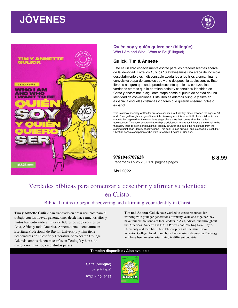



#### **Quién soy y quién quiero ser (bilingüe)** Who I Am and Who I Want to Be (Bilingual)

#### **Gulick, Tim & Annette**

Este es un libro especialmente escrito para los preadolescentes acerca de la identidad. Entre los 10 y los 13 atravesamos una etapa de increíble descubrimiento y es indispensable ayudarles a los hijos a encaminar la convulsiva etapa de cambios que viene después, la adolescencia. Este libro se asegura que cada preadolescente que lo lea conozca las verdades eternas que le permitan definir y construir su identidad en Cristo y encaminar la siguiente etapa desde el punto de partida de una identidad de convicciones. Este libro es además bilingüe y sirve en especial a escuelas cristianas y padres que quieran enseñar inglés o español.

This is a book specially written for pre-adolescents about identity, since between the ages of 10 and 13 we go through a stage of incredible discovery and it is essential to help children in this stage to be prepared for the convulsive stage of changes that comes after this, called adolescence. This book ensures that each pre-adolescent who reads it knows the eternal truths that allow them to define and build their identity in Christ and guide the next stage from the starting point of an identity of convictions. This book is also bilingual and is especially useful for Christian schools and parents who want to teach in English or Spanish.

**9781946707628 \$ 8.99**

Paperback | 5.25 x 8 | 176 páginas/pages

Abril 2022

## Verdades bíblicas para comenzar a descubrir y afirmar su identidad en Cristo.

#### Biblical truths to begin discovering and affirming your identity in Christ.

**Tim y Annette Gulick** han trabajado en crear recursos para el trabajo con las nuevas generaciones desde hace muchos años y juntos han entrenado a miles de líderes de adolescentes en Asia, África y toda América. Annette tiene licenciatura en Escritura Profesional de Baylor University y Tim tiene licenciaturas en Filosofía y Literatura de Wheaton College. Además, ambos tienen maestrías en Teología y han sido misioneros viviendo en distintos países.

**Tim and Annette Gulick** have worked to create resources for working with younger generations for many years and together they have trained thousands of teen leaders in Asia, Africa, and throughout the Americas. Annette has BA in Professional Writing from Baylor University and Tim has BA in Philosophy and Literature from Wheaton College. In addition, both have master's degrees in Theology and have been missionaries living in different countries.

#### **También disponible / Also available**

**Salta (bilingüe)** Jump (bilingual)